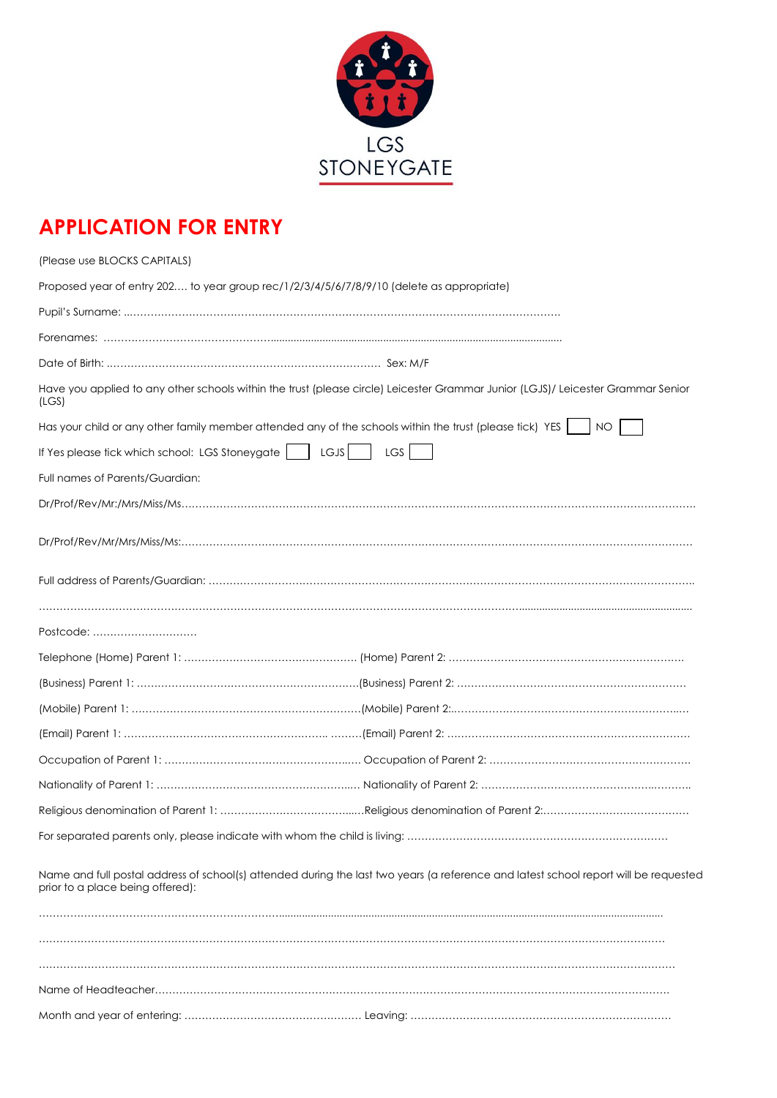

## **APPLICATION FOR ENTRY**

| (Please use BLOCKS CAPITALS)                                                                                  |                                                                                                                                      |
|---------------------------------------------------------------------------------------------------------------|--------------------------------------------------------------------------------------------------------------------------------------|
| Proposed year of entry 202 to year group rec/1/2/3/4/5/6/7/8/9/10 (delete as appropriate)                     |                                                                                                                                      |
|                                                                                                               |                                                                                                                                      |
|                                                                                                               |                                                                                                                                      |
|                                                                                                               |                                                                                                                                      |
| (LS)                                                                                                          | Have you applied to any other schools within the trust (please circle) Leicester Grammar Junior (LGJS)/ Leicester Grammar Senior     |
| Has your child or any other family member attended any of the schools within the trust (please tick) YES   NO |                                                                                                                                      |
| If Yes please tick which school: LGS Stoneygate     LGJS                                                      | LGS                                                                                                                                  |
| Full names of Parents/Guardian:                                                                               |                                                                                                                                      |
|                                                                                                               | Dr/Prof/Rev/Mr. / Mrs/Miss/Ms.                                                                                                       |
|                                                                                                               |                                                                                                                                      |
|                                                                                                               |                                                                                                                                      |
|                                                                                                               |                                                                                                                                      |
| Postcode:                                                                                                     |                                                                                                                                      |
|                                                                                                               |                                                                                                                                      |
|                                                                                                               |                                                                                                                                      |
|                                                                                                               |                                                                                                                                      |
|                                                                                                               |                                                                                                                                      |
|                                                                                                               |                                                                                                                                      |
|                                                                                                               |                                                                                                                                      |
|                                                                                                               |                                                                                                                                      |
|                                                                                                               |                                                                                                                                      |
| prior to a place being offered):                                                                              | Name and full postal address of school(s) attended during the last two years (a reference and latest school report will be requested |
|                                                                                                               |                                                                                                                                      |
|                                                                                                               |                                                                                                                                      |
|                                                                                                               |                                                                                                                                      |